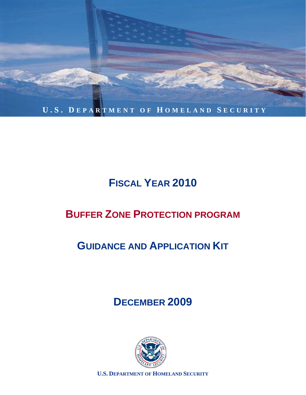

# **FISCAL YEAR 2010**

# **BUFFER ZONE PROTECTION PROGRAM**

# **GUIDANCE AND APPLICATION KIT**

# **DECEMBER 2009**



**U.S. DEPARTMENT OF HOMELAND SECURITY**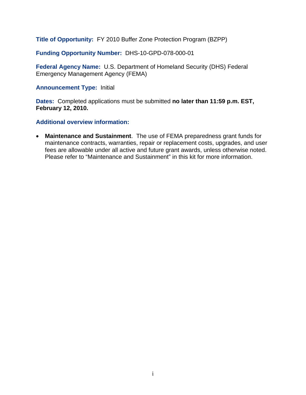**Title of Opportunity:** FY 2010 Buffer Zone Protection Program (BZPP)

**Funding Opportunity Number:** DHS-10-GPD-078-000-01

**Federal Agency Name:** U.S. Department of Homeland Security (DHS) Federal Emergency Management Agency (FEMA)

**Announcement Type:** Initial

**Dates:** Completed applications must be submitted **no later than 11:59 p.m. EST, February 12, 2010.** 

**Additional overview information:** 

• **Maintenance and Sustainment**. The use of FEMA preparedness grant funds for maintenance contracts, warranties, repair or replacement costs, upgrades, and user fees are allowable under all active and future grant awards, unless otherwise noted. Please refer to "Maintenance and Sustainment" in this kit for more information.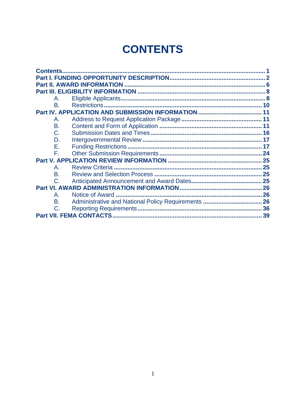# **CONTENTS**

| <b>Contents.</b>     |    |
|----------------------|----|
|                      |    |
| Α.                   |    |
| B.                   | 10 |
|                      |    |
| А.                   |    |
| <b>B.</b>            |    |
| $C_{\cdot}$          |    |
| D.                   |    |
| Е.                   | 17 |
| F.                   |    |
|                      |    |
| $\mathsf{A}_{\cdot}$ | 25 |
| <b>B.</b>            |    |
| C.                   |    |
|                      |    |
| $\mathsf{A}_{-}$     |    |
| <b>B.</b>            |    |
| $C$ .                |    |
|                      | 39 |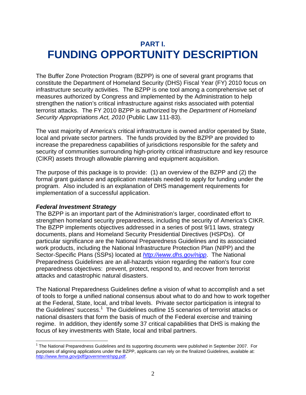### **PART I. FUNDING OPPORTUNITY DESCRIPTION**

The Buffer Zone Protection Program (BZPP) is one of several grant programs that constitute the Department of Homeland Security (DHS) Fiscal Year (FY) 2010 focus on infrastructure security activities. The BZPP is one tool among a comprehensive set of measures authorized by Congress and implemented by the Administration to help strengthen the nation's critical infrastructure against risks associated with potential terrorist attacks. The FY 2010 BZPP is authorized by the *Department of Homeland Security Appropriations Act, 2010* (Public Law 111-83).

The vast majority of America's critical infrastructure is owned and/or operated by State, local and private sector partners. The funds provided by the BZPP are provided to increase the preparedness capabilities of jurisdictions responsible for the safety and security of communities surrounding high-priority critical infrastructure and key resource (CIKR) assets through allowable planning and equipment acquisition.

The purpose of this package is to provide: (1) an overview of the BZPP and (2) the formal grant guidance and application materials needed to apply for funding under the program. Also included is an explanation of DHS management requirements for implementation of a successful application.

#### *Federal Investment Strategy*

The BZPP is an important part of the Administration's larger, coordinated effort to strengthen homeland security preparedness, including the security of America's CIKR. The BZPP implements objectives addressed in a series of post 9/11 laws, strategy documents, plans and Homeland Security Presidential Directives (HSPDs). Of particular significance are the National Preparedness Guidelines and its associated work products, including the National Infrastructure Protection Plan (NIPP) and the Sector-Specific Plans (SSPs) located at *http://www.dhs.gov/nipp*. The National Preparedness Guidelines are an all-hazards vision regarding the nation's four core preparedness objectives: prevent, protect, respond to, and recover from terrorist attacks and catastrophic natural disasters.

The National Preparedness Guidelines define a vision of what to accomplish and a set of tools to forge a unified national consensus about what to do and how to work together at the Federal, State, local, and tribal levels. Private sector participation is integral to the Guidelines' success.<sup>1</sup> The Guidelines outline 15 scenarios of terrorist attacks or national disasters that form the basis of much of the Federal exercise and training regime. In addition, they identify some 37 critical capabilities that DHS is making the focus of key investments with State, local and tribal partners.

 $\overline{a}$ <sup>1</sup> The National Preparedness Guidelines and its supporting documents were published in September 2007. For purposes of aligning applications under the BZPP, applicants can rely on the finalized Guidelines, available at: *http://www.fema.gov/pdf/government/npg.pdf*.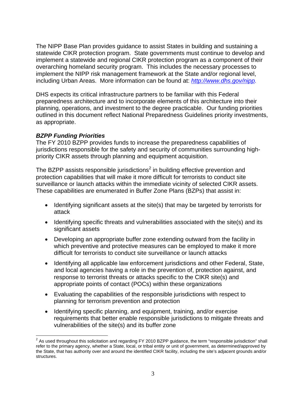The NIPP Base Plan provides guidance to assist States in building and sustaining a statewide CIKR protection program. State governments must continue to develop and implement a statewide and regional CIKR protection program as a component of their overarching homeland security program. This includes the necessary processes to implement the NIPP risk management framework at the State and/or regional level, including Urban Areas. More information can be found at: *http://www.dhs.gov/nipp.*

DHS expects its critical infrastructure partners to be familiar with this Federal preparedness architecture and to incorporate elements of this architecture into their planning, operations, and investment to the degree practicable. Our funding priorities outlined in this document reflect National Preparedness Guidelines priority investments, as appropriate.

#### *BZPP Funding Priorities*

The FY 2010 BZPP provides funds to increase the preparedness capabilities of jurisdictions responsible for the safety and security of communities surrounding highpriority CIKR assets through planning and equipment acquisition.

The BZPP assists responsible jurisdictions<sup>2</sup> in building effective prevention and protection capabilities that will make it more difficult for terrorists to conduct site surveillance or launch attacks within the immediate vicinity of selected CIKR assets. These capabilities are enumerated in Buffer Zone Plans (BZPs) that assist in:

- Identifying significant assets at the site(s) that may be targeted by terrorists for attack
- Identifying specific threats and vulnerabilities associated with the site(s) and its significant assets
- Developing an appropriate buffer zone extending outward from the facility in which preventive and protective measures can be employed to make it more difficult for terrorists to conduct site surveillance or launch attacks
- Identifying all applicable law enforcement jurisdictions and other Federal, State, and local agencies having a role in the prevention of, protection against, and response to terrorist threats or attacks specific to the CIKR site(s) and appropriate points of contact (POCs) within these organizations
- Evaluating the capabilities of the responsible jurisdictions with respect to planning for terrorism prevention and protection
- Identifying specific planning, and equipment, training, and/or exercise requirements that better enable responsible jurisdictions to mitigate threats and vulnerabilities of the site(s) and its buffer zone

 2 As used throughout this solicitation and regarding FY 2010 BZPP guidance, the term "responsible jurisdiction" shall refer to the primary agency, whether a State, local, or tribal entity or unit of government, as determined/approved by the State, that has authority over and around the identified CIKR facility, including the site's adjacent grounds and/or structures.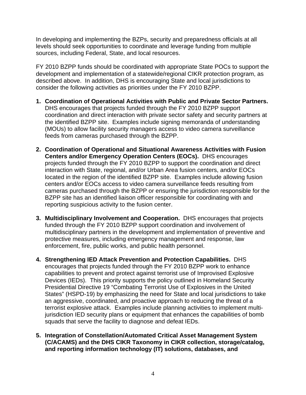In developing and implementing the BZPs, security and preparedness officials at all levels should seek opportunities to coordinate and leverage funding from multiple sources, including Federal, State, and local resources.

FY 2010 BZPP funds should be coordinated with appropriate State POCs to support the development and implementation of a statewide/regional CIKR protection program, as described above. In addition, DHS is encouraging State and local jurisdictions to consider the following activities as priorities under the FY 2010 BZPP.

- **1. Coordination of Operational Activities with Public and Private Sector Partners.** DHS encourages that projects funded through the FY 2010 BZPP support coordination and direct interaction with private sector safety and security partners at the identified BZPP site. Examples include signing memoranda of understanding (MOUs) to allow facility security managers access to video camera surveillance feeds from cameras purchased through the BZPP.
- **2. Coordination of Operational and Situational Awareness Activities with Fusion Centers and/or Emergency Operation Centers (EOCs).** DHS encourages projects funded through the FY 2010 BZPP to support the coordination and direct interaction with State, regional, and/or Urban Area fusion centers, and/or EOCs located in the region of the identified BZPP site. Examples include allowing fusion centers and/or EOCs access to video camera surveillance feeds resulting from cameras purchased through the BZPP or ensuring the jurisdiction responsible for the BZPP site has an identified liaison officer responsible for coordinating with and reporting suspicious activity to the fusion center.
- **3. Multidisciplinary Involvement and Cooperation.** DHS encourages that projects funded through the FY 2010 BZPP support coordination and involvement of multidisciplinary partners in the development and implementation of preventive and protective measures, including emergency management and response, law enforcement, fire, public works, and public health personnel.
- **4. Strengthening IED Attack Prevention and Protection Capabilities.** DHS encourages that projects funded through the FY 2010 BZPP work to enhance capabilities to prevent and protect against terrorist use of Improvised Explosive Devices (IEDs). This priority supports the policy outlined in Homeland Security Presidential Directive 19 "Combating Terrorist Use of Explosives in the United States" (HSPD-19) by emphasizing the need for State and local jurisdictions to take an aggressive, coordinated, and proactive approach to reducing the threat of a terrorist explosive attack. Examples include planning activities to implement multijurisdiction IED security plans or equipment that enhances the capabilities of bomb squads that serve the facility to diagnose and defeat IEDs.
- **5. Integration of Constellation/Automated Critical Asset Management System (C/ACAMS) and the DHS CIKR Taxonomy in CIKR collection, storage/catalog, and reporting information technology (IT) solutions, databases, and**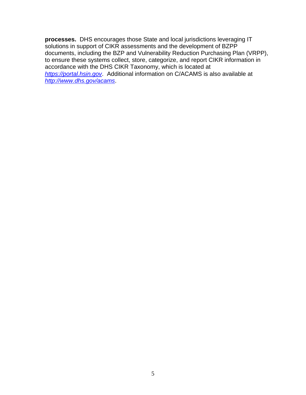**processes.** DHS encourages those State and local jurisdictions leveraging IT solutions in support of CIKR assessments and the development of BZPP documents, including the BZP and Vulnerability Reduction Purchasing Plan (VRPP), to ensure these systems collect, store, categorize, and report CIKR information in accordance with the DHS CIKR Taxonomy, which is located at *https://portal.hsin.gov*. Additional information on C/ACAMS is also available at *http://www.dhs.gov/acams*.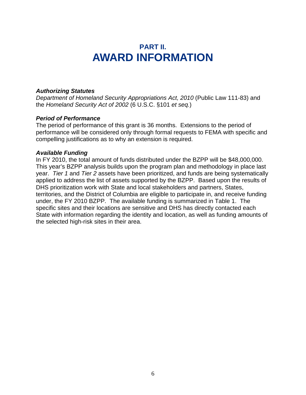### **PART II. AWARD INFORMATION**

#### *Authorizing Statutes*

*Department of Homeland Security Appropriations Act, 2010 (Public Law 111-83) and* the *Homeland Security Act of 2002* (6 U.S.C. §101 *et seq.*)

#### *Period of Performance*

The period of performance of this grant is 36 months. Extensions to the period of performance will be considered only through formal requests to FEMA with specific and compelling justifications as to why an extension is required.

#### *Available Funding*

In FY 2010, the total amount of funds distributed under the BZPP will be \$48,000,000. This year's BZPP analysis builds upon the program plan and methodology in place last year. *Tier 1* and *Tier 2* assets have been prioritized, and funds are being systematically applied to address the list of assets supported by the BZPP. Based upon the results of DHS prioritization work with State and local stakeholders and partners, States, territories, and the District of Columbia are eligible to participate in, and receive funding under, the FY 2010 BZPP. The available funding is summarized in Table 1. The specific sites and their locations are sensitive and DHS has directly contacted each State with information regarding the identity and location, as well as funding amounts of the selected high-risk sites in their area.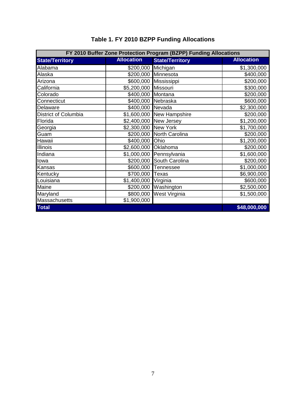| FY 2010 Buffer Zone Protection Program (BZPP) Funding Allocations |                      |                           |                   |  |  |
|-------------------------------------------------------------------|----------------------|---------------------------|-------------------|--|--|
| <b>State/Territory</b>                                            | <b>Allocation</b>    | <b>State/Territory</b>    | <b>Allocation</b> |  |  |
| Alabama                                                           | \$200,000            | Michigan                  | \$1,300,000       |  |  |
| Alaska                                                            |                      | \$200,000 Minnesota       | \$400,000         |  |  |
| Arizona                                                           |                      | \$600,000 Mississippi     | \$200,000         |  |  |
| California                                                        | \$5,200,000          | Missouri                  | \$300,000         |  |  |
| Colorado                                                          | \$400,000 Montana    |                           | \$200,000         |  |  |
| Connecticut                                                       |                      | \$400,000 Nebraska        | \$600,000         |  |  |
| Delaware                                                          | \$400,000 Nevada     |                           | \$2,300,000       |  |  |
| District of Columbia                                              |                      | \$1,600,000 New Hampshire | \$200,000         |  |  |
| Florida                                                           | \$2,400,000          | New Jersey                | \$1,200,000       |  |  |
| Georgia                                                           | \$2,300,000 New York |                           | \$1,700,000       |  |  |
| Guam                                                              |                      | \$200,000 North Carolina  | \$200,000         |  |  |
| Hawaii                                                            | \$400,000 Ohio       |                           | \$1,200,000       |  |  |
| Illinois                                                          | \$2,600,000          | Oklahoma                  | \$200,000         |  |  |
| Indiana                                                           |                      | \$1,000,000 Pennsylvania  | \$1,600,000       |  |  |
| lowa                                                              | \$200,000            | South Carolina            | \$200,000         |  |  |
| Kansas                                                            | \$600,000            | Tennessee                 | \$1,000,000       |  |  |
| Kentucky                                                          | \$700,000            | <b>Texas</b>              | \$6,900,000       |  |  |
| Louisiana                                                         | \$1,400,000          | Virginia                  | \$600,000         |  |  |
| Maine                                                             | \$200,000            | Washington                | \$2,500,000       |  |  |
| Maryland                                                          | \$800,000            | West Virginia             | \$1,500,000       |  |  |
| Massachusetts                                                     | \$1,900,000          |                           |                   |  |  |
| <b>Total</b>                                                      |                      |                           | \$48,000,000      |  |  |

### **Table 1. FY 2010 BZPP Funding Allocations**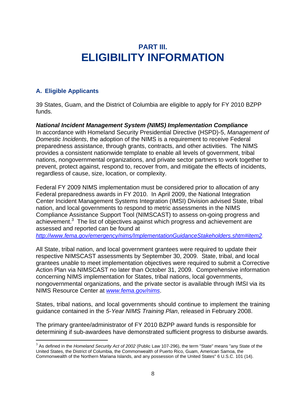### **PART III. ELIGIBILITY INFORMATION**

#### **A. Eligible Applicants**

 $\overline{a}$ 

39 States, Guam, and the District of Columbia are eligible to apply for FY 2010 BZPP funds.

#### *National Incident Management System (NIMS) Implementation Compliance* In accordance with Homeland Security Presidential Directive (HSPD)-5, *Management of*

*Domestic Incidents*, the adoption of the NIMS is a requirement to receive Federal preparedness assistance, through grants, contracts, and other activities. The NIMS provides a consistent nationwide template to enable all levels of government, tribal nations, nongovernmental organizations, and private sector partners to work together to prevent, protect against, respond to, recover from, and mitigate the effects of incidents, regardless of cause, size, location, or complexity.

Federal FY 2009 NIMS implementation must be considered prior to allocation of any Federal preparedness awards in FY 2010. In April 2009, the National Integration Center Incident Management Systems Integration (IMSI) Division advised State, tribal nation, and local governments to respond to metric assessments in the NIMS Compliance Assistance Support Tool (NIMSCAST) to assess on-going progress and achievement.<sup>3</sup> The list of objectives against which progress and achievement are assessed and reported can be found at

*http://www.fema.gov/emergency/nims/ImplementationGuidanceStakeholders.shtm#item2.*

All State, tribal nation, and local government grantees were required to update their respective NIMSCAST assessments by September 30, 2009. State, tribal, and local grantees unable to meet implementation objectives were required to submit a Corrective Action Plan via NIMSCAST no later than October 31, 2009. Comprehensive information concerning NIMS implementation for States, tribal nations, local governments, nongovernmental organizations, and the private sector is available through IMSI via its NIMS Resource Center at *www.fema.gov/nims*.

States, tribal nations, and local governments should continue to implement the training guidance contained in the *5-Year NIMS Training Plan*, released in February 2008.

The primary grantee/administrator of FY 2010 BZPP award funds is responsible for determining if sub-awardees have demonstrated sufficient progress to disburse awards.

<sup>3</sup> As defined in the *Homeland Security Act of 2002* (Public Law 107-296), the term "State" means "any State of the United States, the District of Columbia, the Commonwealth of Puerto Rico, Guam, American Samoa, the Commonwealth of the Northern Mariana Islands, and any possession of the United States" 6 U.S.C. 101 (14).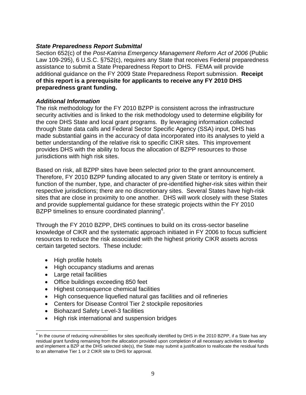#### *State Preparedness Report Submittal*

Section 652(c) of the *Post-Katrina Emergency Management Reform Act of 2006* (Public Law 109-295), 6 U.S.C. §752(c), requires any State that receives Federal preparedness assistance to submit a State Preparedness Report to DHS. FEMA will provide additional guidance on the FY 2009 State Preparedness Report submission. **Receipt of this report is a prerequisite for applicants to receive any FY 2010 DHS preparedness grant funding.**

#### *Additional Information*

The risk methodology for the FY 2010 BZPP is consistent across the infrastructure security activities and is linked to the risk methodology used to determine eligibility for the core DHS State and local grant programs. By leveraging information collected through State data calls and Federal Sector Specific Agency (SSA) input, DHS has made substantial gains in the accuracy of data incorporated into its analyses to yield a better understanding of the relative risk to specific CIKR sites. This improvement provides DHS with the ability to focus the allocation of BZPP resources to those jurisdictions with high risk sites.

Based on risk, all BZPP sites have been selected prior to the grant announcement. Therefore, FY 2010 BZPP funding allocated to any given State or territory is entirely a function of the number, type, and character of pre-identified higher-risk sites within their respective jurisdictions; there are no discretionary sites. Several States have high-risk sites that are close in proximity to one another. DHS will work closely with these States and provide supplemental guidance for these strategic projects within the FY 2010 BZPP timelines to ensure coordinated planning<sup>4</sup>.

Through the FY 2010 BZPP, DHS continues to build on its cross-sector baseline knowledge of CIKR and the systematic approach initiated in FY 2006 to focus sufficient resources to reduce the risk associated with the highest priority CIKR assets across certain targeted sectors. These include:

- High profile hotels
- High occupancy stadiums and arenas
- Large retail facilities
- Office buildings exceeding 850 feet
- Highest consequence chemical facilities
- High consequence liquefied natural gas facilities and oil refineries
- Centers for Disease Control Tier 2 stockpile repositories
- Biohazard Safety Level-3 facilities
- High risk international and suspension bridges

<sup>1</sup>  $^4$  In the course of reducing vulnerabilities for sites specifically identified by DHS in the 2010 BZPP, if a State has any residual grant funding remaining from the allocation provided upon completion of all necessary activities to develop and implement a BZP at the DHS selected site(s), the State may submit a justification to reallocate the residual funds to an alternative Tier 1 or 2 CIKR site to DHS for approval.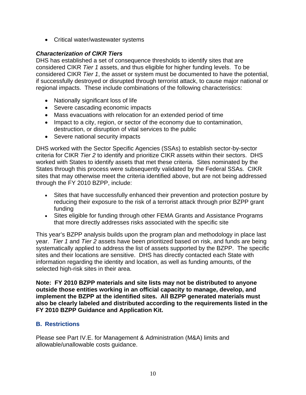• Critical water/wastewater systems

#### *Characterization of CIKR Tiers*

DHS has established a set of consequence thresholds to identify sites that are considered CIKR *Tier 1* assets, and thus eligible for higher funding levels. To be considered CIKR *Tier 1*, the asset or system must be documented to have the potential, if successfully destroyed or disrupted through terrorist attack, to cause major national or regional impacts. These include combinations of the following characteristics:

- Nationally significant loss of life
- Severe cascading economic impacts
- Mass evacuations with relocation for an extended period of time
- Impact to a city, region, or sector of the economy due to contamination, destruction, or disruption of vital services to the public
- Severe national security impacts

DHS worked with the Sector Specific Agencies (SSAs) to establish sector-by-sector criteria for CIKR *Tier 2* to identify and prioritize CIKR assets within their sectors. DHS worked with States to identify assets that met these criteria. Sites nominated by the States through this process were subsequently validated by the Federal SSAs. CIKR sites that may otherwise meet the criteria identified above, but are not being addressed through the FY 2010 BZPP, include:

- Sites that have successfully enhanced their prevention and protection posture by reducing their exposure to the risk of a terrorist attack through prior BZPP grant funding
- Sites eligible for funding through other FEMA Grants and Assistance Programs that more directly addresses risks associated with the specific site

This year's BZPP analysis builds upon the program plan and methodology in place last year. *Tier 1* and *Tier 2* assets have been prioritized based on risk, and funds are being systematically applied to address the list of assets supported by the BZPP. The specific sites and their locations are sensitive. DHS has directly contacted each State with information regarding the identity and location, as well as funding amounts, of the selected high-risk sites in their area.

**Note: FY 2010 BZPP materials and site lists may not be distributed to anyone outside those entities working in an official capacity to manage, develop, and implement the BZPP at the identified sites. All BZPP generated materials must also be clearly labeled and distributed according to the requirements listed in the FY 2010 BZPP Guidance and Application Kit.**

#### **B. Restrictions**

Please see Part IV.E. for Management & Administration (M&A) limits and allowable/unallowable costs guidance.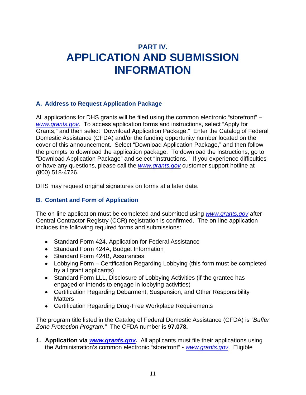## **PART IV. APPLICATION AND SUBMISSION INFORMATION**

#### **A. Address to Request Application Package**

All applications for DHS grants will be filed using the common electronic "storefront" – *www.grants.gov*. To access application forms and instructions, select "Apply for Grants," and then select "Download Application Package." Enter the Catalog of Federal Domestic Assistance (CFDA) and/or the funding opportunity number located on the cover of this announcement. Select "Download Application Package," and then follow the prompts to download the application package. To download the instructions, go to "Download Application Package" and select "Instructions." If you experience difficulties or have any questions, please call the *www.grants.gov* customer support hotline at (800) 518-4726.

DHS may request original signatures on forms at a later date.

#### **B. Content and Form of Application**

The on-line application must be completed and submitted using *www.grants.gov* after Central Contractor Registry (CCR) registration is confirmed. The on-line application includes the following required forms and submissions:

- Standard Form 424, Application for Federal Assistance
- Standard Form 424A, Budget Information
- Standard Form 424B, Assurances
- Lobbying Form Certification Regarding Lobbying (this form must be completed by all grant applicants)
- Standard Form LLL, Disclosure of Lobbying Activities (if the grantee has engaged or intends to engage in lobbying activities)
- Certification Regarding Debarment, Suspension, and Other Responsibility **Matters**
- Certification Regarding Drug-Free Workplace Requirements

The program title listed in the Catalog of Federal Domestic Assistance (CFDA) is *"Buffer Zone Protection Program."* The CFDA number is **97.078.** 

**1. Application via** *www.grants.gov***.** All applicants must file their applications using the Administration's common electronic "storefront" - *www.grants.gov*. Eligible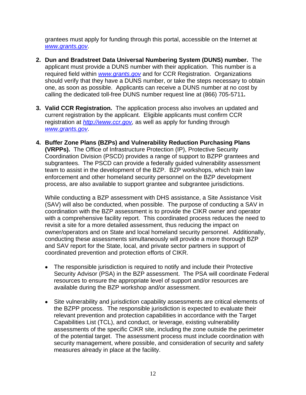grantees must apply for funding through this portal, accessible on the Internet at *www.grants.gov*.

- **2. Dun and Bradstreet Data Universal Numbering System (DUNS) number.** The applicant must provide a DUNS number with their application. This number is a required field within *www.grants.gov* and for CCR Registration. Organizations should verify that they have a DUNS number, or take the steps necessary to obtain one, as soon as possible. Applicants can receive a DUNS number at no cost by calling the dedicated toll-free DUNS number request line at (866) 705-5711**.**
- **3. Valid CCR Registration.** The application process also involves an updated and current registration by the applicant. Eligible applicants must confirm CCR registration at *http://www.ccr.gov,* as well as apply for funding through *www.grants.gov*.
- **4. Buffer Zone Plans (BZPs) and Vulnerability Reduction Purchasing Plans (VRPPs).** The Office of Infrastructure Protection (IP), Protective Security Coordination Division (PSCD) provides a range of support to BZPP grantees and subgrantees. The PSCD can provide a federally guided vulnerability assessment team to assist in the development of the BZP. BZP workshops, which train law enforcement and other homeland security personnel on the BZP development process, are also available to support grantee and subgrantee jurisdictions.

While conducting a BZP assessment with DHS assistance, a Site Assistance Visit (SAV) will also be conducted, when possible. The purpose of conducting a SAV in coordination with the BZP assessment is to provide the CIKR owner and operator with a comprehensive facility report. This coordinated process reduces the need to revisit a site for a more detailed assessment, thus reducing the impact on owner/operators and on State and local homeland security personnel. Additionally, conducting these assessments simultaneously will provide a more thorough BZP and SAV report for the State, local, and private sector partners in support of coordinated prevention and protection efforts of CIKR.

- The responsible jurisdiction is required to notify and include their Protective Security Advisor (PSA) in the BZP assessment. The PSA will coordinate Federal resources to ensure the appropriate level of support and/or resources are available during the BZP workshop and/or assessment.
- Site vulnerability and jurisdiction capability assessments are critical elements of the BZPP process. The responsible jurisdiction is expected to evaluate their relevant prevention and protection capabilities in accordance with the Target Capabilities List (TCL), and conduct, or leverage, existing vulnerability assessments of the specific CIKR site, including the zone outside the perimeter of the potential target. The assessment process must include coordination with security management, where possible, and consideration of security and safety measures already in place at the facility.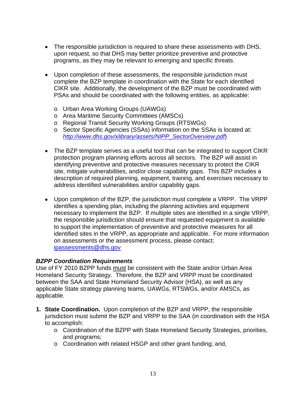- The responsible jurisdiction is required to share these assessments with DHS, upon request, so that DHS may better prioritize preventive and protective programs, as they may be relevant to emerging and specific threats.
- Upon completion of these assessments, the responsible jurisdiction must complete the BZP template in coordination with the State for each identified CIKR site. Additionally, the development of the BZP must be coordinated with PSAs and should be coordinated with the following entities, as applicable:
	- o Urban Area Working Groups (UAWGs)
	- o Area Maritime Security Committees (AMSCs)
	- o Regional Transit Security Working Groups (RTSWGs)
	- o Sector Specific Agencies (SSAs) information on the SSAs is located at: *http://www.dhs.gov/xlibrary/assets/NIPP\_SectorOverview.pdf*)
- The BZP template serves as a useful tool that can be integrated to support CIKR protection program planning efforts across all sectors. The BZP will assist in identifying preventive and protective measures necessary to protect the CIKR site, mitigate vulnerabilities, and/or close capability gaps. This BZP includes a description of required planning, equipment, training, and exercises necessary to address identified vulnerabilities and/or capability gaps.
- Upon completion of the BZP, the jurisdiction must complete a VRPP. The VRPP identifies a spending plan, including the planning activities and equipment necessary to implement the BZP. If multiple sites are identified in a single VRPP, the responsible jurisdiction should ensure that requested equipment is available to support the implementation of preventive and protective measures for all identified sites in the VRPP, as appropriate and applicable. For more information on assessments or the assessment process, please contact: ipassessments@dhs.gov

#### *BZPP Coordination Requirements*

Use of FY 2010 BZPP funds must be consistent with the State and/or Urban Area Homeland Security Strategy. Therefore, the BZP and VRPP must be coordinated between the SAA and State Homeland Security Advisor (HSA), as well as any applicable State strategy planning teams, UAWGs, RTSWGs, and/or AMSCs, as applicable.

- **1. State Coordination.** Upon completion of the BZP and VRPP, the responsible jurisdiction must submit the BZP and VRPP to the SAA (in coordination with the HSA to accomplish:
	- o Coordination of the BZPP with State Homeland Security Strategies, priorities, and programs;
	- o Coordination with related HSGP and other grant funding; and,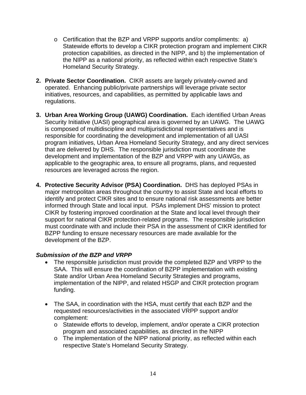- o Certification that the BZP and VRPP supports and/or compliments: a) Statewide efforts to develop a CIKR protection program and implement CIKR protection capabilities, as directed in the NIPP, and b) the implementation of the NIPP as a national priority, as reflected within each respective State's Homeland Security Strategy.
- **2. Private Sector Coordination.** CIKR assets are largely privately-owned and operated. Enhancing public/private partnerships will leverage private sector initiatives, resources, and capabilities, as permitted by applicable laws and regulations.
- **3. Urban Area Working Group (UAWG) Coordination.** Each identified Urban Areas Security Initiative (UASI) geographical area is governed by an UAWG. The UAWG is composed of multidiscipline and multijurisdictional representatives and is responsible for coordinating the development and implementation of all UASI program initiatives, Urban Area Homeland Security Strategy, and any direct services that are delivered by DHS. The responsible jurisdiction must coordinate the development and implementation of the BZP and VRPP with any UAWGs, as applicable to the geographic area, to ensure all programs, plans, and requested resources are leveraged across the region.
- **4. Protective Security Advisor (PSA) Coordination.** DHS has deployed PSAs in major metropolitan areas throughout the country to assist State and local efforts to identify and protect CIKR sites and to ensure national risk assessments are better informed through State and local input. PSAs implement DHS' mission to protect CIKR by fostering improved coordination at the State and local level through their support for national CIKR protection-related programs. The responsible jurisdiction must coordinate with and include their PSA in the assessment of CIKR identified for BZPP funding to ensure necessary resources are made available for the development of the BZP.

#### *Submission of the BZP and VRPP*

- The responsible jurisdiction must provide the completed BZP and VRPP to the SAA. This will ensure the coordination of BZPP implementation with existing State and/or Urban Area Homeland Security Strategies and programs, implementation of the NIPP, and related HSGP and CIKR protection program funding.
- The SAA, in coordination with the HSA, must certify that each BZP and the requested resources/activities in the associated VRPP support and/or complement:
	- o Statewide efforts to develop, implement, and/or operate a CIKR protection program and associated capabilities, as directed in the NIPP
	- o The implementation of the NIPP national priority, as reflected within each respective State's Homeland Security Strategy.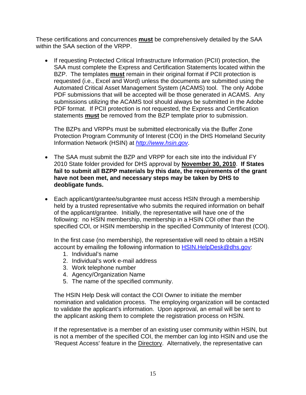These certifications and concurrences **must** be comprehensively detailed by the SAA within the SAA section of the VRPP.

• If requesting Protected Critical Infrastructure Information (PCII) protection, the SAA must complete the Express and Certification Statements located within the BZP. The templates **must** remain in their original format if PCII protection is requested (i.e., Excel and Word) unless the documents are submitted using the Automated Critical Asset Management System (ACAMS) tool. The only Adobe PDF submissions that will be accepted will be those generated in ACAMS. Any submissions utilizing the ACAMS tool should always be submitted in the Adobe PDF format. If PCII protection is not requested, the Express and Certification statements **must** be removed from the BZP template prior to submission.

The BZPs and VRPPs must be submitted electronically via the Buffer Zone Protection Program Community of Interest (COI) in the DHS Homeland Security Information Network (HSIN) at *http://www.hsin.gov*.

- The SAA must submit the BZP and VRPP for each site into the individual FY 2010 State folder provided for DHS approval by **November 30, 2010**. **If States fail to submit all BZPP materials by this date, the requirements of the grant have not been met, and necessary steps may be taken by DHS to deobligate funds.**
- Each applicant/grantee/subgrantee must access HSIN through a membership held by a trusted representative who submits the required information on behalf of the applicant/grantee. Initially, the representative will have one of the following: no HSIN membership, membership in a HSIN COI other than the specified COI, or HSIN membership in the specified Community of Interest (COI).

In the first case (no membership), the representative will need to obtain a HSIN account by emailing the following information to HSIN. HelpDesk@dhs.gov:

- 1. Individual's name
- 2. Individual's work e-mail address
- 3. Work telephone number
- 4. Agency/Organization Name
- 5. The name of the specified community.

The HSIN Help Desk will contact the COI Owner to initiate the member nomination and validation process. The employing organization will be contacted to validate the applicant's information. Upon approval, an email will be sent to the applicant asking them to complete the registration process on HSIN.

If the representative is a member of an existing user community within HSIN, but is not a member of the specified COI, the member can log into HSIN and use the 'Request Access' feature in the Directory. Alternatively, the representative can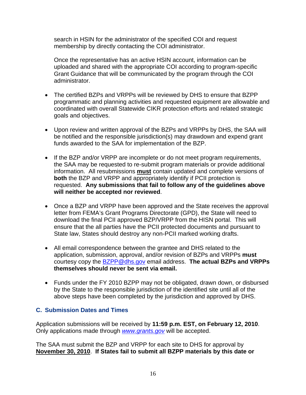search in HSIN for the administrator of the specified COI and request membership by directly contacting the COI administrator.

Once the representative has an active HSIN account, information can be uploaded and shared with the appropriate COI according to program-specific Grant Guidance that will be communicated by the program through the COI administrator.

- The certified BZPs and VRPPs will be reviewed by DHS to ensure that BZPP programmatic and planning activities and requested equipment are allowable and coordinated with overall Statewide CIKR protection efforts and related strategic goals and objectives.
- Upon review and written approval of the BZPs and VRPPs by DHS, the SAA will be notified and the responsible jurisdiction(s) may drawdown and expend grant funds awarded to the SAA for implementation of the BZP.
- If the BZP and/or VRPP are incomplete or do not meet program requirements, the SAA may be requested to re-submit program materials or provide additional information. All resubmissions **must** contain updated and complete versions of **both** the BZP and VRPP and appropriately identify if PCII protection is requested. **Any submissions that fail to follow any of the guidelines above will neither be accepted nor reviewed**.
- Once a BZP and VRPP have been approved and the State receives the approval letter from FEMA's Grant Programs Directorate (GPD), the State will need to download the final PCII approved BZP/VRPP from the HISN portal. This will ensure that the all parties have the PCII protected documents and pursuant to State law, States should destroy any non-PCII marked working drafts.
- All email correspondence between the grantee and DHS related to the application, submission, approval, and/or revision of BZPs and VRPPs **must**  courtesy copy the BZPP@dhs.gov email address. **The actual BZPs and VRPPs themselves should never be sent via email.**
- Funds under the FY 2010 BZPP may not be obligated, drawn down, or disbursed by the State to the responsible jurisdiction of the identified site until all of the above steps have been completed by the jurisdiction and approved by DHS.

#### **C. Submission Dates and Times**

Application submissions will be received by **11:59 p.m. EST, on February 12, 2010**. Only applications made through *www.grants.gov* will be accepted.

The SAA must submit the BZP and VRPP for each site to DHS for approval by **November 30, 2010**. **If States fail to submit all BZPP materials by this date or**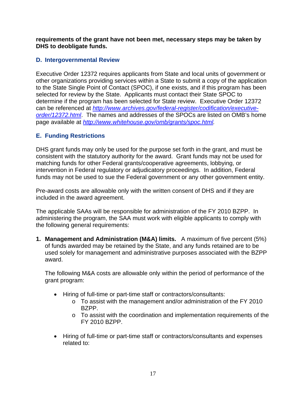**requirements of the grant have not been met, necessary steps may be taken by DHS to deobligate funds.** 

#### **D. Intergovernmental Review**

Executive Order 12372 requires applicants from State and local units of government or other organizations providing services within a State to submit a copy of the application to the State Single Point of Contact (SPOC), if one exists, and if this program has been selected for review by the State. Applicants must contact their State SPOC to determine if the program has been selected for State review. Executive Order 12372 can be referenced at *http://www.archives.gov/federal-register/codification/executiveorder/12372.html*. The names and addresses of the SPOCs are listed on OMB's home page available at *http://www.whitehouse.gov/omb/grants/spoc.html.* 

#### **E. Funding Restrictions**

DHS grant funds may only be used for the purpose set forth in the grant, and must be consistent with the statutory authority for the award. Grant funds may not be used for matching funds for other Federal grants/cooperative agreements, lobbying, or intervention in Federal regulatory or adjudicatory proceedings. In addition, Federal funds may not be used to sue the Federal government or any other government entity.

Pre-award costs are allowable only with the written consent of DHS and if they are included in the award agreement.

The applicable SAAs will be responsible for administration of the FY 2010 BZPP. In administering the program, the SAA must work with eligible applicants to comply with the following general requirements:

**1. Management and Administration (M&A) limits.** A maximum of five percent (5%) of funds awarded may be retained by the State, and any funds retained are to be used solely for management and administrative purposes associated with the BZPP award.

The following M&A costs are allowable only within the period of performance of the grant program:

- Hiring of full-time or part-time staff or contractors/consultants:
	- o To assist with the management and/or administration of the FY 2010 BZPP.
	- o To assist with the coordination and implementation requirements of the FY 2010 BZPP.
- Hiring of full-time or part-time staff or contractors/consultants and expenses related to: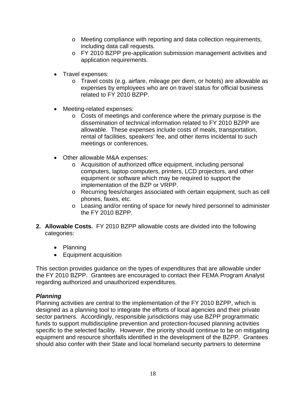- o Meeting compliance with reporting and data collection requirements, including data call requests.
- o FY 2010 BZPP pre-application submission management activities and application requirements.
- Travel expenses:
	- o Travel costs (e.g. airfare, mileage per diem, or hotels) are allowable as expenses by employees who are on travel status for official business related to FY 2010 BZPP.
- Meeting-related expenses:
	- o Costs of meetings and conference where the primary purpose is the dissemination of technical information related to FY 2010 BZPP are allowable. These expenses include costs of meals, transportation, rental of facilities, speakers' fee, and other items incidental to such meetings or conferences.
- Other allowable M&A expenses:
	- o Acquisition of authorized office equipment, including personal computers, laptop computers, printers, LCD projectors, and other equipment or software which may be required to support the implementation of the BZP or VRPP.
	- o Recurring fees/charges associated with certain equipment, such as cell phones, faxes, etc.
	- o Leasing and/or renting of space for newly hired personnel to administer the FY 2010 BZPP.
- **2. Allowable Costs.** FY 2010 BZPP allowable costs are divided into the following categories:
	- Planning
	- Equipment acquisition

This section provides guidance on the types of expenditures that are allowable under the FY 2010 BZPP. Grantees are encouraged to contact their FEMA Program Analyst regarding authorized and unauthorized expenditures.

#### *Planning*

Planning activities are central to the implementation of the FY 2010 BZPP, which is designed as a planning tool to integrate the efforts of local agencies and their private sector partners. Accordingly, responsible jurisdictions may use BZPP programmatic funds to support multidiscipline prevention and protection-focused planning activities specific to the selected facility. However, the priority should continue to be on mitigating equipment and resource shortfalls identified in the development of the BZPP. Grantees should also confer with their State and local homeland security partners to determine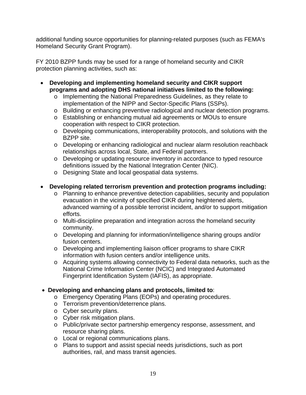additional funding source opportunities for planning-related purposes (such as FEMA's Homeland Security Grant Program).

FY 2010 BZPP funds may be used for a range of homeland security and CIKR protection planning activities, such as:

- **Developing and implementing homeland security and CIKR support programs and adopting DHS national initiatives limited to the following:** 
	- o Implementing the National Preparedness Guidelines, as they relate to implementation of the NIPP and Sector-Specific Plans (SSPs).
	- o Building or enhancing preventive radiological and nuclear detection programs.
	- o Establishing or enhancing mutual aid agreements or MOUs to ensure cooperation with respect to CIKR protection.
	- o Developing communications, interoperability protocols, and solutions with the BZPP site.
	- o Developing or enhancing radiological and nuclear alarm resolution reachback relationships across local, State, and Federal partners.
	- o Developing or updating resource inventory in accordance to typed resource definitions issued by the National Integration Center (NIC).
	- o Designing State and local geospatial data systems.
- **Developing related terrorism prevention and protection programs including:** 
	- o Planning to enhance preventive detection capabilities, security and population evacuation in the vicinity of specified CIKR during heightened alerts, advanced warning of a possible terrorist incident, and/or to support mitigation efforts.
	- o Multi-discipline preparation and integration across the homeland security community.
	- o Developing and planning for information/intelligence sharing groups and/or fusion centers.
	- o Developing and implementing liaison officer programs to share CIKR information with fusion centers and/or intelligence units.
	- o Acquiring systems allowing connectivity to Federal data networks, such as the National Crime Information Center (NCIC) and Integrated Automated Fingerprint Identification System (IAFIS), as appropriate.
- **Developing and enhancing plans and protocols, limited to**:
	- o Emergency Operating Plans (EOPs) and operating procedures.
	- o Terrorism prevention/deterrence plans.
	- o Cyber security plans.
	- o Cyber risk mitigation plans.
	- o Public/private sector partnership emergency response, assessment, and resource sharing plans.
	- o Local or regional communications plans.
	- o Plans to support and assist special needs jurisdictions, such as port authorities, rail, and mass transit agencies.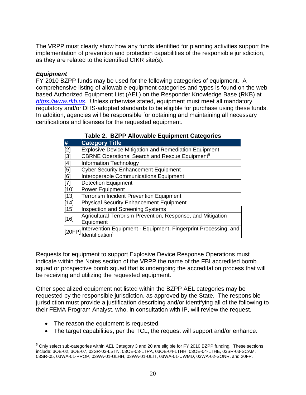The VRPP must clearly show how any funds identified for planning activities support the implementation of prevention and protection capabilities of the responsible jurisdiction, as they are related to the identified CIKR site(s).

#### *Equipment*

FY 2010 BZPP funds may be used for the following categories of equipment. A comprehensive listing of allowable equipment categories and types is found on the webbased Authorized Equipment List (AEL) on the Responder Knowledge Base (RKB) at *https://www.rkb.us*. Unless otherwise stated, equipment must meet all mandatory regulatory and/or DHS-adopted standards to be eligible for purchase using these funds. In addition, agencies will be responsible for obtaining and maintaining all necessary certifications and licenses for the requested equipment.

| #                                                                                                                             | <b>Category Title</b>                                           |
|-------------------------------------------------------------------------------------------------------------------------------|-----------------------------------------------------------------|
|                                                                                                                               | <b>Explosive Device Mitigation and Remediation Equipment</b>    |
|                                                                                                                               | CBRNE Operational Search and Rescue Equipment <sup>5</sup>      |
| $\begin{array}{ c c } \hline \hline [2] \hline [3] \hline [4] \hline [4] \hline [5] \hline [6] \hline [7] \hline \end{array}$ | Information Technology                                          |
|                                                                                                                               | <b>Cyber Security Enhancement Equipment</b>                     |
|                                                                                                                               | Interoperable Communications Equipment                          |
|                                                                                                                               | <b>Detection Equipment</b>                                      |
| [10]                                                                                                                          | Power Equipment                                                 |
| $[13]$                                                                                                                        | <b>Terrorism Incident Prevention Equipment</b>                  |
| $[14]$                                                                                                                        | Physical Security Enhancement Equipment                         |
| [15]                                                                                                                          | Inspection and Screening Systems                                |
| $[16]$                                                                                                                        | Agricultural Terrorism Prevention, Response, and Mitigation     |
|                                                                                                                               | Equipment                                                       |
| [20FP]                                                                                                                        | Intervention Equipment - Equipment, Fingerprint Processing, and |
|                                                                                                                               | Identification <sup>5</sup>                                     |

| Table 2. BZPP Allowable Equipment Categories |  |
|----------------------------------------------|--|
|                                              |  |

Requests for equipment to support Explosive Device Response Operations must indicate within the Notes section of the VRPP the name of the FBI accredited bomb squad or prospective bomb squad that is undergoing the accreditation process that will be receiving and utilizing the requested equipment.

Other specialized equipment not listed within the BZPP AEL categories may be requested by the responsible jurisdiction, as approved by the State. The responsible jurisdiction must provide a justification describing and/or identifying all of the following to their FEMA Program Analyst, who, in consultation with IP, will review the request.

- The reason the equipment is requested.
- The target capabilities, per the TCL, the request will support and/or enhance.

 $\overline{a}$ <sup>5</sup> Only select sub-categories within AEL Category 3 and 20 are eligible for FY 2010 BZPP funding. These sections include: 3OE-02, 3OE-07, 03SR-03-LSTN, 03OE-03-LTPA, 03OE-04-LTHH, 03OE-04-LTHE, 03SR-03-SCAM, 03SR-05, 03WA-01-PROP, 03WA-01-ULHH, 03WA-01-ULIT, 03WA-01-UWMD, 03WA-02-SONR, and 20FP.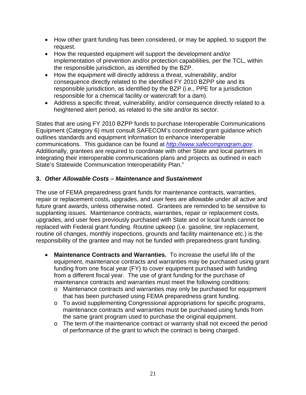- How other grant funding has been considered, or may be applied, to support the request.
- How the requested equipment will support the development and/or implementation of prevention and/or protection capabilities, per the TCL, within the responsible jurisdiction, as identified by the BZP.
- How the equipment will directly address a threat, vulnerability, and/or consequence directly related to the identified FY 2010 BZPP site and its responsible jurisdiction, as identified by the BZP (i.e., PPE for a jurisdiction responsible for a chemical facility or watercraft for a dam).
- Address a specific threat, vulnerability, and/or consequence directly related to a heightened alert period, as related to the site and/or its sector.

States that are using FY 2010 BZPP funds to purchase Interoperable Communications Equipment (Category 6) must consult SAFECOM's coordinated grant guidance which outlines standards and equipment information to enhance interoperable communications. This guidance can be found at *http://www.safecomprogram.gov*. Additionally, grantees are required to coordinate with other State and local partners in integrating their interoperable communications plans and projects as outlined in each State's Statewide Communication Interoperability Plan."

#### **3.** *Other Allowable Costs – Maintenance and Sustainment*

The use of FEMA preparedness grant funds for maintenance contracts, warranties, repair or replacement costs, upgrades, and user fees are allowable under all active and future grant awards, unless otherwise noted. Grantees are reminded to be sensitive to supplanting issues. Maintenance contracts, warranties, repair or replacement costs, upgrades, and user fees previously purchased with State and or local funds cannot be replaced with Federal grant funding. Routine upkeep (i.e. gasoline, tire replacement, routine oil changes, monthly inspections, grounds and facility maintenance etc.) is the responsibility of the grantee and may not be funded with preparedness grant funding.

- **Maintenance Contracts and Warranties.** To increase the useful life of the equipment, maintenance contracts and warranties may be purchased using grant funding from one fiscal year (FY) to cover equipment purchased with funding from a different fiscal year. The use of grant funding for the purchase of maintenance contracts and warranties must meet the following conditions:
	- o Maintenance contracts and warranties may only be purchased for equipment that has been purchased using FEMA preparedness grant funding.
	- o To avoid supplementing Congressional appropriations for specific programs, maintenance contracts and warranties must be purchased using funds from the same grant program used to purchase the original equipment.
	- o The term of the maintenance contract or warranty shall not exceed the period of performance of the grant to which the contract is being charged.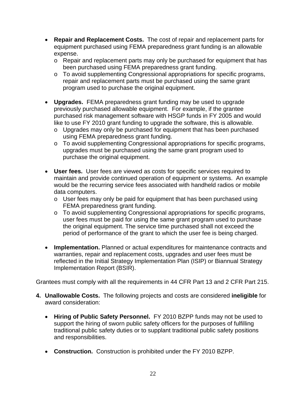- **Repair and Replacement Costs.** The cost of repair and replacement parts for equipment purchased using FEMA preparedness grant funding is an allowable expense.
	- o Repair and replacement parts may only be purchased for equipment that has been purchased using FEMA preparedness grant funding.
	- o To avoid supplementing Congressional appropriations for specific programs, repair and replacement parts must be purchased using the same grant program used to purchase the original equipment.
- **Upgrades.** FEMA preparedness grant funding may be used to upgrade previously purchased allowable equipment. For example, if the grantee purchased risk management software with HSGP funds in FY 2005 and would like to use FY 2010 grant funding to upgrade the software, this is allowable.
	- o Upgrades may only be purchased for equipment that has been purchased using FEMA preparedness grant funding.
	- o To avoid supplementing Congressional appropriations for specific programs, upgrades must be purchased using the same grant program used to purchase the original equipment.
- **User fees.** User fees are viewed as costs for specific services required to maintain and provide continued operation of equipment or systems. An example would be the recurring service fees associated with handheld radios or mobile data computers.
	- o User fees may only be paid for equipment that has been purchased using FEMA preparedness grant funding.
	- o To avoid supplementing Congressional appropriations for specific programs, user fees must be paid for using the same grant program used to purchase the original equipment. The service time purchased shall not exceed the period of performance of the grant to which the user fee is being charged.
- **Implementation.** Planned or actual expenditures for maintenance contracts and warranties, repair and replacement costs, upgrades and user fees must be reflected in the Initial Strategy Implementation Plan (ISIP) or Biannual Strategy Implementation Report (BSIR).

Grantees must comply with all the requirements in 44 CFR Part 13 and 2 CFR Part 215.

- **4. Unallowable Costs.** The following projects and costs are considered **ineligible** for award consideration:
	- **Hiring of Public Safety Personnel.** FY 2010 BZPP funds may not be used to support the hiring of sworn public safety officers for the purposes of fulfilling traditional public safety duties or to supplant traditional public safety positions and responsibilities.
	- **Construction.** Construction is prohibited under the FY 2010 BZPP.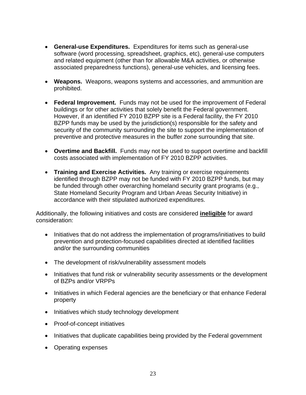- **General-use Expenditures.** Expenditures for items such as general-use software (word processing, spreadsheet, graphics, etc), general-use computers and related equipment (other than for allowable M&A activities, or otherwise associated preparedness functions), general-use vehicles, and licensing fees.
- **Weapons.** Weapons, weapons systems and accessories, and ammunition are prohibited.
- **Federal Improvement.** Funds may not be used for the improvement of Federal buildings or for other activities that solely benefit the Federal government. However, if an identified FY 2010 BZPP site is a Federal facility, the FY 2010 BZPP funds may be used by the jurisdiction(s) responsible for the safety and security of the community surrounding the site to support the implementation of preventive and protective measures in the buffer zone surrounding that site.
- **Overtime and Backfill.** Funds may not be used to support overtime and backfill costs associated with implementation of FY 2010 BZPP activities.
- **Training and Exercise Activities.** Any training or exercise requirements identified through BZPP may not be funded with FY 2010 BZPP funds, but may be funded through other overarching homeland security grant programs (e.g., State Homeland Security Program and Urban Areas Security Initiative) in accordance with their stipulated authorized expenditures.

Additionally, the following initiatives and costs are considered **ineligible** for award consideration:

- Initiatives that do not address the implementation of programs/initiatives to build prevention and protection-focused capabilities directed at identified facilities and/or the surrounding communities
- The development of risk/vulnerability assessment models
- Initiatives that fund risk or vulnerability security assessments or the development of BZPs and/or VRPPs
- Initiatives in which Federal agencies are the beneficiary or that enhance Federal property
- Initiatives which study technology development
- Proof-of-concept initiatives
- Initiatives that duplicate capabilities being provided by the Federal government
- Operating expenses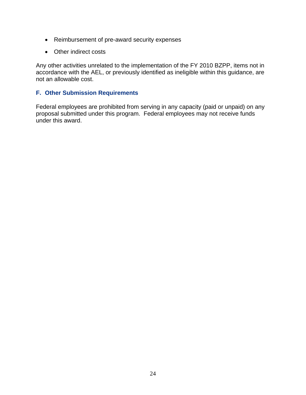- Reimbursement of pre-award security expenses
- Other indirect costs

Any other activities unrelated to the implementation of the FY 2010 BZPP, items not in accordance with the AEL, or previously identified as ineligible within this guidance, are not an allowable cost.

#### **F. Other Submission Requirements**

Federal employees are prohibited from serving in any capacity (paid or unpaid) on any proposal submitted under this program. Federal employees may not receive funds under this award.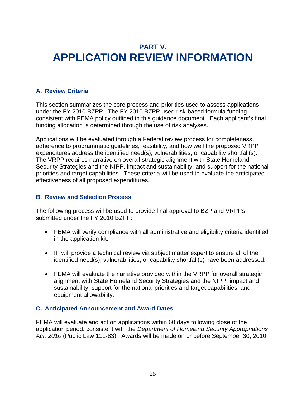### **PART V. APPLICATION REVIEW INFORMATION**

#### **A. Review Criteria**

This section summarizes the core process and priorities used to assess applications under the FY 2010 BZPP. The FY 2010 BZPP used risk-based formula funding consistent with FEMA policy outlined in this guidance document. Each applicant's final funding allocation is determined through the use of risk analyses.

Applications will be evaluated through a Federal review process for completeness, adherence to programmatic guidelines, feasibility, and how well the proposed VRPP expenditures address the identified need(s), vulnerabilities, or capability shortfall(s). The VRPP requires narrative on overall strategic alignment with State Homeland Security Strategies and the NIPP, impact and sustainability, and support for the national priorities and target capabilities. These criteria will be used to evaluate the anticipated effectiveness of all proposed expenditures.

#### **B. Review and Selection Process**

The following process will be used to provide final approval to BZP and VRPPs submitted under the FY 2010 BZPP:

- FEMA will verify compliance with all administrative and eligibility criteria identified in the application kit.
- IP will provide a technical review via subject matter expert to ensure all of the identified need(s), vulnerabilities, or capability shortfall(s) have been addressed.
- FEMA will evaluate the narrative provided within the VRPP for overall strategic alignment with State Homeland Security Strategies and the NIPP, impact and sustainability, support for the national priorities and target capabilities, and equipment allowability.

#### **C. Anticipated Announcement and Award Dates**

FEMA will evaluate and act on applications within 60 days following close of the application period, consistent with the *Department of Homeland Security Appropriations Act, 2010* (Public Law 111-83). Awards will be made on or before September 30, 2010.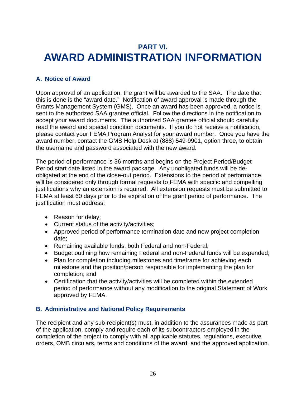### **PART VI. AWARD ADMINISTRATION INFORMATION**

#### **A. Notice of Award**

Upon approval of an application, the grant will be awarded to the SAA. The date that this is done is the "award date." Notification of award approval is made through the Grants Management System (GMS). Once an award has been approved, a notice is sent to the authorized SAA grantee official.Follow the directions in the notification to accept your award documents. The authorized SAA grantee official should carefully read the award and special condition documents. If you do not receive a notification, please contact your FEMA Program Analyst for your award number. Once you have the award number, contact the GMS Help Desk at (888) 549-9901, option three, to obtain the username and password associated with the new award.

The period of performance is 36 months and begins on the Project Period/Budget Period start date listed in the award package. Any unobligated funds will be deobligated at the end of the close-out period. Extensions to the period of performance will be considered only through formal requests to FEMA with specific and compelling justifications why an extension is required. All extension requests must be submitted to FEMA at least 60 days prior to the expiration of the grant period of performance. The justification must address:

- Reason for delay:
- Current status of the activity/activities;
- Approved period of performance termination date and new project completion date;
- Remaining available funds, both Federal and non-Federal;
- Budget outlining how remaining Federal and non-Federal funds will be expended;
- Plan for completion including milestones and timeframe for achieving each milestone and the position/person responsible for implementing the plan for completion; and
- Certification that the activity/activities will be completed within the extended period of performance without any modification to the original Statement of Work approved by FEMA.

#### **B. Administrative and National Policy Requirements**

The recipient and any sub-recipient(s) must, in addition to the assurances made as part of the application, comply and require each of its subcontractors employed in the completion of the project to comply with all applicable statutes, regulations, executive orders, OMB circulars, terms and conditions of the award, and the approved application.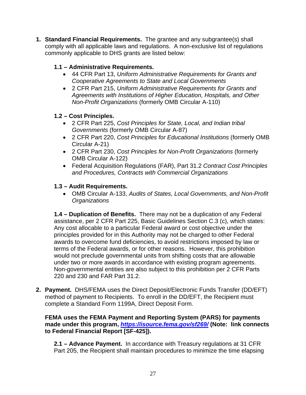**1. Standard Financial Requirements.** The grantee and any subgrantee(s) shall comply with all applicable laws and regulations. A non-exclusive list of regulations commonly applicable to DHS grants are listed below:

#### **1.1 – Administrative Requirements.**

- 44 CFR Part 13, *Uniform Administrative Requirements for Grants and Cooperative Agreements to State and Local Governments*
- 2 CFR Part 215, *Uniform Administrative Requirements for Grants and Agreements with Institutions of Higher Education, Hospitals, and Other Non-Profit Organizations* (formerly OMB Circular A-110)

#### **1.2 – Cost Principles.**

- 2 CFR Part 225, *Cost Principles for State, Local, and Indian tribal Governments* (formerly OMB Circular A-87)
- 2 CFR Part 220, *Cost Principles for Educational Institutions* (formerly OMB Circular A-21)
- 2 CFR Part 230, *Cost Principles for Non-Profit Organizations* (formerly OMB Circular A-122)
- Federal Acquisition Regulations (FAR), Part 31.2 *Contract Cost Principles and Procedures, Contracts with Commercial Organizations*

#### **1.3 – Audit Requirements.**

• OMB Circular A-133, *Audits of States, Local Governments, and Non-Profit Organizations* 

**1.4 – Duplication of Benefits.** There may not be a duplication of any Federal assistance, per 2 CFR Part 225, Basic Guidelines Section C.3 (c), which states: Any cost allocable to a particular Federal award or cost objective under the principles provided for in this Authority may not be charged to other Federal awards to overcome fund deficiencies, to avoid restrictions imposed by law or terms of the Federal awards, or for other reasons. However, this prohibition would not preclude governmental units from shifting costs that are allowable under two or more awards in accordance with existing program agreements. Non-governmental entities are also subject to this prohibition per 2 CFR Parts 220 and 230 and FAR Part 31.2.

**2. Payment.** DHS/FEMA uses the Direct Deposit/Electronic Funds Transfer (DD/EFT) method of payment to Recipients. To enroll in the DD/EFT, the Recipient must complete a Standard Form 1199A, Direct Deposit Form.

**FEMA uses the FEMA Payment and Reporting System (PARS) for payments made under this program,** *https://isource.fema.gov/sf269/* **(Note: link connects to Federal Financial Report [SF-425]).** 

**2.1 – Advance Payment.** In accordance with Treasury regulations at 31 CFR Part 205, the Recipient shall maintain procedures to minimize the time elapsing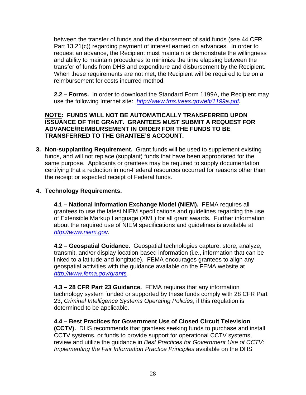between the transfer of funds and the disbursement of said funds (see 44 CFR Part 13.21(c)) regarding payment of interest earned on advances. In order to request an advance, the Recipient must maintain or demonstrate the willingness and ability to maintain procedures to minimize the time elapsing between the transfer of funds from DHS and expenditure and disbursement by the Recipient. When these requirements are not met, the Recipient will be required to be on a reimbursement for costs incurred method.

**2.2 – Forms.** In order to download the Standard Form 1199A, the Recipient may use the following Internet site: *http://www.fms.treas.gov/eft/1199a.pdf.* 

#### **NOTE: FUNDS WILL NOT BE AUTOMATICALLY TRANSFERRED UPON ISSUANCE OF THE GRANT. GRANTEES MUST SUBMIT A REQUEST FOR ADVANCE/REIMBURSEMENT IN ORDER FOR THE FUNDS TO BE TRANSFERRED TO THE GRANTEE'S ACCOUNT.**

**3. Non-supplanting Requirement.** Grant funds will be used to supplement existing funds, and will not replace (supplant) funds that have been appropriated for the same purpose. Applicants or grantees may be required to supply documentation certifying that a reduction in non-Federal resources occurred for reasons other than the receipt or expected receipt of Federal funds.

#### **4. Technology Requirements.**

**4.1 – National Information Exchange Model (NIEM).** FEMA requires all grantees to use the latest NIEM specifications and guidelines regarding the use of Extensible Markup Language (XML) for all grant awards.Further information about the required use of NIEM specifications and guidelines is available at *http://www.niem.gov.* 

**4.2 – Geospatial Guidance.** Geospatial technologies capture, store, analyze, transmit, and/or display location-based information (i.e., information that can be linked to a latitude and longitude). FEMA encourages grantees to align any geospatial activities with the guidance available on the FEMA website at *http://www.fema.gov/grants.* 

**4.3 – 28 CFR Part 23 Guidance.** FEMA requires that any information technology system funded or supported by these funds comply with 28 CFR Part 23, *Criminal Intelligence Systems Operating Policies*, if this regulation is determined to be applicable.

**4.4 – Best Practices for Government Use of Closed Circuit Television (CCTV).** DHS recommends that grantees seeking funds to purchase and install CCTV systems, or funds to provide support for operational CCTV systems, review and utilize the guidance in *Best Practices for Government Use of CCTV: Implementing the Fair Information Practice Principles* available on the DHS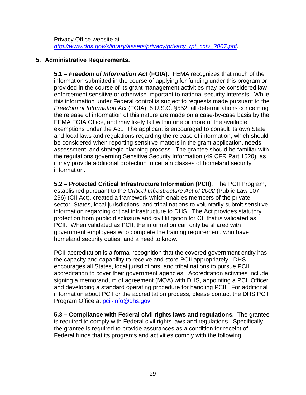Privacy Office website at *http://www.dhs.gov/xlibrary/assets/privacy/privacy\_rpt\_cctv\_2007.pdf*.

#### **5. Administrative Requirements.**

**5.1 –** *Freedom of Information Act* **(FOIA).** FEMA recognizes that much of the information submitted in the course of applying for funding under this program or provided in the course of its grant management activities may be considered law enforcement sensitive or otherwise important to national security interests. While this information under Federal control is subject to requests made pursuant to the *Freedom of Information Act* (FOIA), 5 U.S.C. §552, all determinations concerning the release of information of this nature are made on a case-by-case basis by the FEMA FOIA Office, and may likely fall within one or more of the available exemptions under the Act. The applicant is encouraged to consult its own State and local laws and regulations regarding the release of information, which should be considered when reporting sensitive matters in the grant application, needs assessment, and strategic planning process. The grantee should be familiar with the regulations governing Sensitive Security Information (49 CFR Part 1520), as it may provide additional protection to certain classes of homeland security information.

**5.2 – Protected Critical Infrastructure Information (PCII).** The PCII Program, established pursuant to the *Critical Infrastructure Act of 2002* (Public Law 107- 296) (CII Act), created a framework which enables members of the private sector, States, local jurisdictions, and tribal nations to voluntarily submit sensitive information regarding critical infrastructure to DHS. The Act provides statutory protection from public disclosure and civil litigation for CII that is validated as PCII. When validated as PCII, the information can only be shared with government employees who complete the training requirement, who have homeland security duties, and a need to know.

PCII accreditation is a formal recognition that the covered government entity has the capacity and capability to receive and store PCII appropriately. DHS encourages all States, local jurisdictions, and tribal nations to pursue PCII accreditation to cover their government agencies. Accreditation activities include signing a memorandum of agreement (MOA) with DHS, appointing a PCII Officer and developing a standard operating procedure for handling PCII. For additional information about PCII or the accreditation process, please contact the DHS PCII Program Office at pcii-info@dhs.gov.

**5.3 – Compliance with Federal civil rights laws and regulations.** The grantee is required to comply with Federal civil rights laws and regulations. Specifically, the grantee is required to provide assurances as a condition for receipt of Federal funds that its programs and activities comply with the following: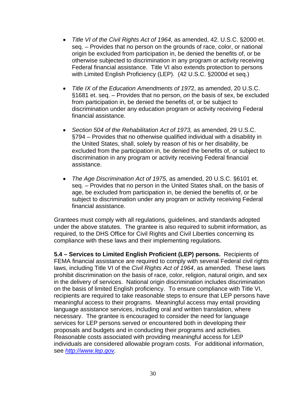- *Title VI of the Civil Rights Act of 1964,* as amended, 42. U.S.C. §2000 et. seq. – Provides that no person on the grounds of race, color, or national origin be excluded from participation in, be denied the benefits of, or be otherwise subjected to discrimination in any program or activity receiving Federal financial assistance. Title VI also extends protection to persons with Limited English Proficiency (LEP). (42 U.S.C. §2000d et seq.)
- *Title IX of the Education Amendments of 197*2, as amended, 20 U.S.C. §1681 et. seq. – Provides that no person, *on* the basis of sex, be excluded from participation in, be denied the benefits of, or be subject to discrimination under any education program or activity receiving Federal financial assistance.
- Section 504 of the Rehabilitation Act of 1973, as amended, 29 U.S.C. §794 – Provides that no otherwise qualified individual with a disability in the United States, shall, solely by reason of his or her disability, be excluded from the participation in, be denied the benefits of, or subject to discrimination in any program or activity receiving Federal financial assistance.
- *The Age Discrimination Act of 1975,* as amended, 20 U.S.C. §6101 et. seq. – Provides that no person in the United States shall, on the basis of age, be excluded from participation in, be denied the benefits of, or be subject to discrimination under any program or activity receiving Federal financial assistance.

Grantees must comply with all regulations, guidelines, and standards adopted under the above statutes. The grantee is also required to submit information, as required, to the DHS Office for Civil Rights and Civil Liberties concerning its compliance with these laws and their implementing regulations.

**5.4 – Services to Limited English Proficient (LEP) persons.** Recipients of FEMA financial assistance are required to comply with several Federal civil rights laws, including Title VI of the *Civil Rights Act of 1964*, as amended. These laws prohibit discrimination on the basis of race, color, religion, natural origin, and sex in the delivery of services. National origin discrimination includes discrimination on the basis of limited English proficiency. To ensure compliance with Title VI, recipients are required to take reasonable steps to ensure that LEP persons have meaningful access to their programs. Meaningful access may entail providing language assistance services, including oral and written translation, where necessary. The grantee is encouraged to consider the need for language services for LEP persons served or encountered both in developing their proposals and budgets and in conducting their programs and activities. Reasonable costs associated with providing meaningful access for LEP individuals are considered allowable program costs. For additional information, see *http://www.lep.gov.*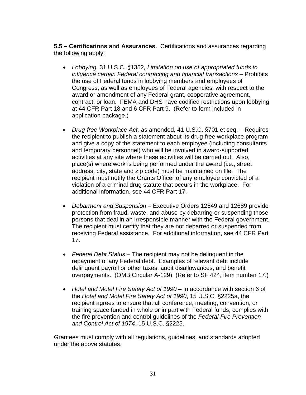**5.5 – Certifications and Assurances.** Certifications and assurances regarding the following apply:

- *Lobbying.* 31 U.S.C. §1352*, Limitation on use of appropriated funds to influence certain Federal contracting and financial transactions – Prohibits* the use of Federal funds in lobbying members and employees of Congress, as well as employees of Federal agencies, with respect to the award or amendment of any Federal grant, cooperative agreement, contract, or loan. FEMA and DHS have codified restrictions upon lobbying at 44 CFR Part 18 and 6 CFR Part 9. (Refer to form included in application package.)
- *Drug-free Workplace Act,* as amended, 41 U.S.C. §701 et seq. Requires the recipient to publish a statement about its drug-free workplace program and give a copy of the statement to each employee (including consultants and temporary personnel) who will be involved in award-supported activities at any site where these activities will be carried out. Also, place(s) where work is being performed under the award (i.e., street address, city, state and zip code) must be maintained on file. The recipient must notify the Grants Officer of any employee convicted of a violation of a criminal drug statute that occurs in the workplace. For additional information, see 44 CFR Part 17.
- *Debarment and Suspension –* Executive Orders 12549 and 12689 provide protection from fraud, waste, and abuse by debarring or suspending those persons that deal in an irresponsible manner with the Federal government. The recipient must certify that they are not debarred or suspended from receiving Federal assistance. For additional information, see 44 CFR Part 17.
- *Federal Debt Status*  The recipient may not be delinquent in the repayment of any Federal debt. Examples of relevant debt include delinquent payroll or other taxes, audit disallowances, and benefit overpayments. (OMB Circular A-129) (Refer to SF 424, item number 17.)
- Hotel and Motel Fire Safety Act of 1990 In accordance with section 6 of the *Hotel and Motel Fire Safety Act of 1990*, 15 U.S.C. §2225a, the recipient agrees to ensure that all conference, meeting, convention, or training space funded in whole or in part with Federal funds, complies with the fire prevention and control guidelines of the *Federal Fire Prevention and Control Act of 1974*, 15 U.S.C. §2225.

Grantees must comply with all regulations, guidelines, and standards adopted under the above statutes.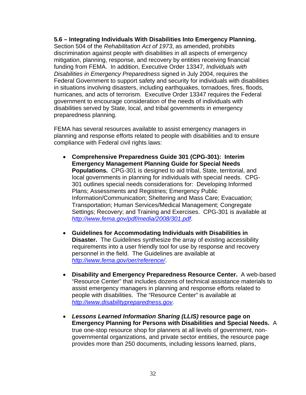**5.6 – Integrating Individuals With Disabilities Into Emergency Planning.** Section 504 of the *Rehabilitation Act of 1973*, as amended, prohibits discrimination against people with disabilities in all aspects of emergency mitigation, planning, response, and recovery by entities receiving financial funding from FEMA. In addition, Executive Order 13347, *Individuals with Disabilities in Emergency Preparedness* signed in July 2004, requires the Federal Government to support safety and security for individuals with disabilities in situations involving disasters, including earthquakes, tornadoes, fires, floods, hurricanes, and acts of terrorism. Executive Order 13347 requires the Federal government to encourage consideration of the needs of individuals with disabilities served by State, local, and tribal governments in emergency preparedness planning.

FEMA has several resources available to assist emergency managers in planning and response efforts related to people with disabilities and to ensure compliance with Federal civil rights laws:

- **Comprehensive Preparedness Guide 301 (CPG-301): Interim Emergency Management Planning Guide for Special Needs Populations.** CPG-301 is designed to aid tribal, State, territorial, and local governments in planning for individuals with special needs. CPG-301 outlines special needs considerations for: Developing Informed Plans; Assessments and Registries; Emergency Public Information/Communication; Sheltering and Mass Care; Evacuation; Transportation; Human Services/Medical Management; Congregate Settings; Recovery; and Training and Exercises. CPG-301 is available at *http://www.fema.gov/pdf/media/2008/301.pdf*.
- **Guidelines for Accommodating Individuals with Disabilities in Disaster.** The Guidelines synthesize the array of existing accessibility requirements into a user friendly tool for use by response and recovery personnel in the field. The Guidelines are available at *http://www.fema.gov/oer/reference/*.
- **Disability and Emergency Preparedness Resource Center.** A web-based "Resource Center" that includes dozens of technical assistance materials to assist emergency managers in planning and response efforts related to people with disabilities. The "Resource Center" is available at *http://www.disabilitypreparedness.gov*.
- *Lessons Learned Information Sharing (LLIS)* **resource page on Emergency Planning for Persons with Disabilities and Special Needs.** A true one-stop resource shop for planners at all levels of government, nongovernmental organizations, and private sector entities, the resource page provides more than 250 documents, including lessons learned, plans,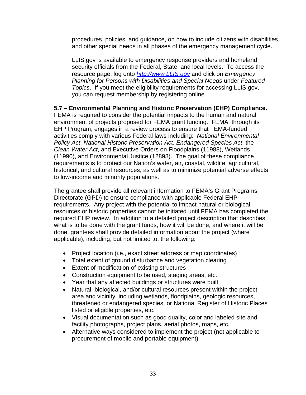procedures, policies, and guidance, on how to include citizens with disabilities and other special needs in all phases of the emergency management cycle.

LLIS.gov is available to emergency response providers and homeland security officials from the Federal, State, and local levels. To access the resource page, log onto *http://www.LLIS.gov* and click on *Emergency Planning for Persons with Disabilities and Special Needs* under *Featured Topics*. If you meet the eligibility requirements for accessing LLIS.gov, you can request membership by registering online.

#### **5.7 – Environmental Planning and Historic Preservation (EHP) Compliance.**

FEMA is required to consider the potential impacts to the human and natural environment of projects proposed for FEMA grant funding. FEMA, through its EHP Program, engages in a review process to ensure that FEMA-funded activities comply with various Federal laws including: *National Environmental Policy Act*, *National Historic Preservation Act*, *Endangered Species Act*, the *Clean Water Act*, and Executive Orders on Floodplains (11988), Wetlands (11990), and Environmental Justice (12898). The goal of these compliance requirements is to protect our Nation's water, air, coastal, wildlife, agricultural, historical, and cultural resources, as well as to minimize potential adverse effects to low-income and minority populations.

The grantee shall provide all relevant information to FEMA's Grant Programs Directorate (GPD) to ensure compliance with applicable Federal EHP requirements. Any project with the potential to impact natural or biological resources or historic properties cannot be initiated until FEMA has completed the required EHP review. In addition to a detailed project description that describes what is to be done with the grant funds, how it will be done, and where it will be done, grantees shall provide detailed information about the project (where applicable), including, but not limited to, the following:

- Project location (i.e., exact street address or map coordinates)
- Total extent of ground disturbance and vegetation clearing
- Extent of modification of existing structures
- Construction equipment to be used, staging areas, etc.
- Year that any affected buildings or structures were built
- Natural, biological, and/or cultural resources present within the project area and vicinity, including wetlands, floodplains, geologic resources, threatened or endangered species, or National Register of Historic Places listed or eligible properties, etc.
- Visual documentation such as good quality, color and labeled site and facility photographs, project plans, aerial photos, maps, etc.
- Alternative ways considered to implement the project (not applicable to procurement of mobile and portable equipment)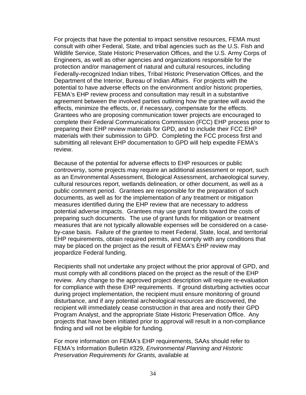For projects that have the potential to impact sensitive resources, FEMA must consult with other Federal, State, and tribal agencies such as the U.S. Fish and Wildlife Service, State Historic Preservation Offices, and the U.S. Army Corps of Engineers, as well as other agencies and organizations responsible for the protection and/or management of natural and cultural resources, including Federally-recognized Indian tribes, Tribal Historic Preservation Offices, and the Department of the Interior, Bureau of Indian Affairs. For projects with the potential to have adverse effects on the environment and/or historic properties, FEMA's EHP review process and consultation may result in a substantive agreement between the involved parties outlining how the grantee will avoid the effects, minimize the effects, or, if necessary, compensate for the effects. Grantees who are proposing communication tower projects are encouraged to complete their Federal Communications Commission (FCC) EHP process prior to preparing their EHP review materials for GPD, and to include their FCC EHP materials with their submission to GPD. Completing the FCC process first and submitting all relevant EHP documentation to GPD will help expedite FEMA's review.

Because of the potential for adverse effects to EHP resources or public controversy, some projects may require an additional assessment or report, such as an Environmental Assessment, Biological Assessment, archaeological survey, cultural resources report, wetlands delineation, or other document, as well as a public comment period. Grantees are responsible for the preparation of such documents, as well as for the implementation of any treatment or mitigation measures identified during the EHP review that are necessary to address potential adverse impacts. Grantees may use grant funds toward the costs of preparing such documents. The use of grant funds for mitigation or treatment measures that are not typically allowable expenses will be considered on a caseby-case basis. Failure of the grantee to meet Federal, State, local, and territorial EHP requirements, obtain required permits, and comply with any conditions that may be placed on the project as the result of FEMA's EHP review may jeopardize Federal funding.

Recipients shall not undertake any project without the prior approval of GPD, and must comply with all conditions placed on the project as the result of the EHP review. Any change to the approved project description will require re-evaluation for compliance with these EHP requirements. If ground disturbing activities occur during project implementation, the recipient must ensure monitoring of ground disturbance, and if any potential archeological resources are discovered, the recipient will immediately cease construction in that area and notify their GPD Program Analyst, and the appropriate State Historic Preservation Office. Any projects that have been initiated prior to approval will result in a non-compliance finding and will not be eligible for funding.

For more information on FEMA's EHP requirements, SAAs should refer to FEMA's Information Bulletin #329, *Environmental Planning and Historic Preservation Requirements for Grants,* available at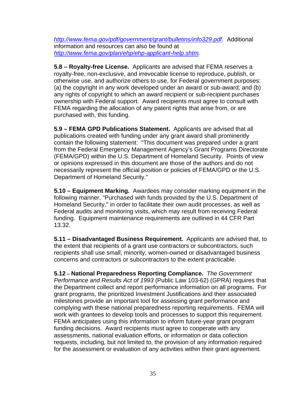*http://www.fema.gov/pdf/government/grant/bulletins/info329.pdf*. Additional information and resources can also be found at *http://www.fema.gov/plan/ehp/ehp-applicant-help.shtm.*

**5.8 – Royalty-free License.** Applicants are advised that FEMA reserves a royalty-free, non-exclusive, and irrevocable license to reproduce, publish, or otherwise use, and authorize others to use, for Federal government purposes: (a) the copyright in any work developed under an award or sub-award; and (b) any rights of copyright to which an award recipient or sub-recipient purchases ownership with Federal support. Award recipients must agree to consult with FEMA regarding the allocation of any patent rights that arise from, or are purchased with, this funding.

**5.9 – FEMA GPD Publications Statement.** Applicants are advised that all publications created with funding under any grant award shall prominently contain the following statement: "This document was prepared under a grant from the Federal Emergency Management Agency's Grant Programs Directorate (FEMA/GPD) within the U.S. Department of Homeland Security. Points of view or opinions expressed in this document are those of the authors and do not necessarily represent the official position or policies of FEMA/GPD or the U.S. Department of Homeland Security."

**5.10 – Equipment Marking.** Awardees may consider marking equipment in the following manner, "Purchased with funds provided by the U.S. Department of Homeland Security," in order to facilitate their own audit processes, as well as Federal audits and monitoring visits, which may result from receiving Federal funding. Equipment maintenance requirements are outlined in 44 CFR Part 13.32.

**5.11 – Disadvantaged Business Requirement.** Applicants are advised that, to the extent that recipients of a grant use contractors or subcontractors, such recipients shall use small, minority, women-owned or disadvantaged business concerns and contractors or subcontractors to the extent practicable.

**5.12 – National Preparedness Reporting Compliance.** *The Government Performance and Results Act of 1993* (Public Law 103-62) (GPRA) requires that the Department collect and report performance information on all programs. For grant programs, the prioritized Investment Justifications and their associated milestones provide an important tool for assessing grant performance and complying with these national preparedness reporting requirements. FEMA will work with grantees to develop tools and processes to support this requirement. FEMA anticipates using this information to inform future-year grant program funding decisions. Award recipients must agree to cooperate with any assessments, national evaluation efforts, or information or data collection requests, including, but not limited to, the provision of any information required for the assessment or evaluation of any activities within their grant agreement.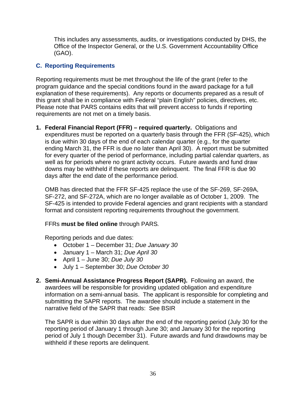This includes any assessments, audits, or investigations conducted by DHS, the Office of the Inspector General, or the U.S. Government Accountability Office (GAO).

#### **C. Reporting Requirements**

Reporting requirements must be met throughout the life of the grant (refer to the program guidance and the special conditions found in the award package for a full explanation of these requirements). Any reports or documents prepared as a result of this grant shall be in compliance with Federal "plain English" policies, directives, etc. Please note that PARS contains edits that will prevent access to funds if reporting requirements are not met on a timely basis.

**1. Federal Financial Report (FFR) – required quarterly.** Obligations and expenditures must be reported on a quarterly basis through the FFR (SF-425), which is due within 30 days of the end of each calendar quarter (e.g., for the quarter ending March 31, the FFR is due no later than April 30). A report must be submitted for every quarter of the period of performance, including partial calendar quarters, as well as for periods where no grant activity occurs. Future awards and fund draw downs may be withheld if these reports are delinquent. The final FFR is due 90 days after the end date of the performance period.

OMB has directed that the FFR SF-425 replace the use of the SF-269, SF-269A, SF-272, and SF-272A, which are no longer available as of October 1, 2009. The SF-425 is intended to provide Federal agencies and grant recipients with a standard format and consistent reporting requirements throughout the government.

#### FFRs **must be filed online** through PARS*.*

Reporting periods and due dates:

- October 1 December 31; *Due January 30*
- January 1 March 31; *Due April 30*
- April 1 June 30; *Due July 30*
- July 1 September 30; *Due October 30*
- **2. Semi-Annual Assistance Progress Report (SAPR).** Following an award, the awardees will be responsible for providing updated obligation and expenditure information on a semi-annual basis. The applicant is responsible for completing and submitting the SAPR reports. The awardee should include a statement in the narrative field of the SAPR that reads: See BSIR

The SAPR is due within 30 days after the end of the reporting period (July 30 for the reporting period of January 1 through June 30; and January 30 for the reporting period of July 1 though December 31). Future awards and fund drawdowns may be withheld if these reports are delinquent.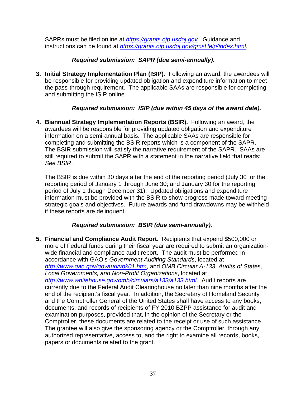SAPRs must be filed online at *https://grants.ojp.usdoj.gov.* Guidance and instructions can be found at *https://grants.ojp.usdoj.gov/gmsHelp/index.html*.

#### *Required submission: SAPR (due semi-annually).*

**3. Initial Strategy Implementation Plan (ISIP).** Following an award, the awardees will be responsible for providing updated obligation and expenditure information to meet the pass-through requirement. The applicable SAAs are responsible for completing and submitting the ISIP online.

#### *Required submission: ISIP (due within 45 days of the award date).*

**4. Biannual Strategy Implementation Reports (BSIR).** Following an award, the awardees will be responsible for providing updated obligation and expenditure information on a semi-annual basis. The applicable SAAs are responsible for completing and submitting the BSIR reports which is a component of the SAPR. The BSIR submission will satisfy the narrative requirement of the SAPR. SAAs are still required to submit the SAPR with a statement in the narrative field that reads: *See BSIR*.

The BSIR is due within 30 days after the end of the reporting period (July 30 for the reporting period of January 1 through June 30; and January 30 for the reporting period of July 1 though December 31). Updated obligations and expenditure information must be provided with the BSIR to show progress made toward meeting strategic goals and objectives. Future awards and fund drawdowns may be withheld if these reports are delinquent.

#### *Required submission: BSIR (due semi-annually).*

**5. Financial and Compliance Audit Report.** Recipients that expend \$500,000 or more of Federal funds during their fiscal year are required to submit an organizationwide financial and compliance audit report. The audit must be performed in accordance with GAO's *Government Auditing Standards*, located at *http://www.gao.gov/govaud/ybk01.htm*, and *OMB Circular A-133, Audits of States, Local Governments, and Non-Profit Organizations*, located at *http://www.whitehouse.gov/omb/circulars/a133/a133.html.* Audit reports are currently due to the Federal Audit Clearinghouse no later than nine months after the end of the recipient's fiscal year. In addition, the Secretary of Homeland Security and the Comptroller General of the United States shall have access to any books, documents, and records of recipients of FY 2010 BZPP assistance for audit and examination purposes, provided that, in the opinion of the Secretary or the Comptroller, these documents are related to the receipt or use of such assistance. The grantee will also give the sponsoring agency or the Comptroller, through any authorized representative, access to, and the right to examine all records, books, papers or documents related to the grant.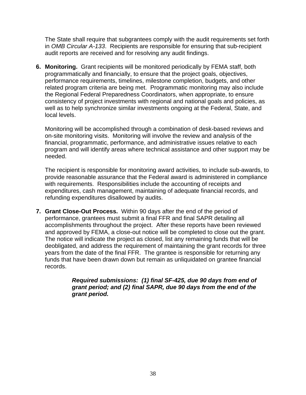The State shall require that subgrantees comply with the audit requirements set forth in *OMB Circular A-133*. Recipients are responsible for ensuring that sub-recipient audit reports are received and for resolving any audit findings.

**6. Monitoring.** Grant recipients will be monitored periodically by FEMA staff, both programmatically and financially, to ensure that the project goals, objectives, performance requirements, timelines, milestone completion, budgets, and other related program criteria are being met. Programmatic monitoring may also include the Regional Federal Preparedness Coordinators, when appropriate, to ensure consistency of project investments with regional and national goals and policies, as well as to help synchronize similar investments ongoing at the Federal, State, and local levels.

Monitoring will be accomplished through a combination of desk-based reviews and on-site monitoring visits. Monitoring will involve the review and analysis of the financial, programmatic, performance, and administrative issues relative to each program and will identify areas where technical assistance and other support may be needed.

The recipient is responsible for monitoring award activities, to include sub-awards, to provide reasonable assurance that the Federal award is administered in compliance with requirements. Responsibilities include the accounting of receipts and expenditures, cash management, maintaining of adequate financial records, and refunding expenditures disallowed by audits.

**7. Grant Close-Out Process.** Within 90 days after the end of the period of performance, grantees must submit a final FFR and final SAPR detailing all accomplishments throughout the project. After these reports have been reviewed and approved by FEMA, a close-out notice will be completed to close out the grant. The notice will indicate the project as closed, list any remaining funds that will be deobligated, and address the requirement of maintaining the grant records for three years from the date of the final FFR. The grantee is responsible for returning any funds that have been drawn down but remain as unliquidated on grantee financial records.

> *Required submissions: (1) final SF-425, due 90 days from end of grant period; and (2) final SAPR, due 90 days from the end of the grant period.*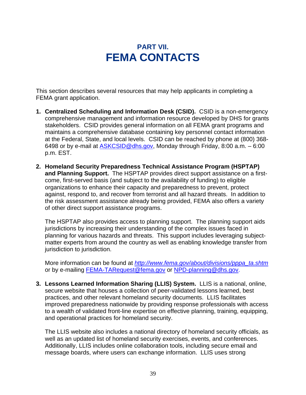### **PART VII. FEMA CONTACTS**

This section describes several resources that may help applicants in completing a FEMA grant application.

- **1. Centralized Scheduling and Information Desk (CSID).** CSID is a non-emergency comprehensive management and information resource developed by DHS for grants stakeholders. CSID provides general information on all FEMA grant programs and maintains a comprehensive database containing key personnel contact information at the Federal, State, and local levels. CSID can be reached by phone at (800) 368- 6498 or by e-mail at ASKCSID@dhs.gov, Monday through Friday, 8:00 a.m. – 6:00 p.m. EST.
- **2. Homeland Security Preparedness Technical Assistance Program (HSPTAP) and Planning Support.** The HSPTAP provides direct support assistance on a firstcome, first-served basis (and subject to the availability of funding) to eligible organizations to enhance their capacity and preparedness to prevent, protect against, respond to, and recover from terrorist and all hazard threats. In addition to the risk assessment assistance already being provided, FEMA also offers a variety of other direct support assistance programs.

The HSPTAP also provides access to planning support. The planning support aids jurisdictions by increasing their understanding of the complex issues faced in planning for various hazards and threats. This support includes leveraging subjectmatter experts from around the country as well as enabling knowledge transfer from jurisdiction to jurisdiction.

More information can be found at *http://www.fema.gov/about/divisions/pppa\_ta.shtm* or by e-mailing FEMA-TARequest@fema.gov or NPD-planning@dhs.gov.

**3. Lessons Learned Information Sharing (LLIS) System.** LLIS is a national, online, secure website that houses a collection of peer-validated lessons learned, best practices, and other relevant homeland security documents. LLIS facilitates improved preparedness nationwide by providing response professionals with access to a wealth of validated front-line expertise on effective planning, training, equipping, and operational practices for homeland security.

The LLIS website also includes a national directory of homeland security officials, as well as an updated list of homeland security exercises, events, and conferences. Additionally, LLIS includes online collaboration tools, including secure email and message boards, where users can exchange information. LLIS uses strong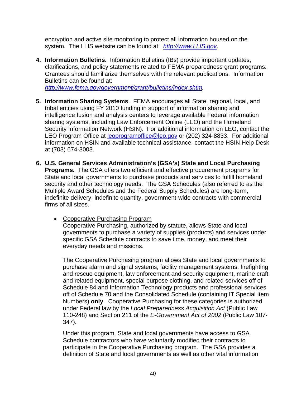encryption and active site monitoring to protect all information housed on the system. The LLIS website can be found at: *http://www.LLIS.gov*.

**4. Information Bulletins.** Information Bulletins (IBs) provide important updates, clarifications, and policy statements related to FEMA preparedness grant programs. Grantees should familiarize themselves with the relevant publications. Information Bulletins can be found at:

*http://www.fema.gov/government/grant/bulletins/index.shtm.* 

- **5. Information Sharing Systems**. FEMA encourages all State, regional, local, and tribal entities using FY 2010 funding in support of information sharing and intelligence fusion and analysis centers to leverage available Federal information sharing systems, including Law Enforcement Online (LEO) and the Homeland Security Information Network (HSIN). For additional information on LEO, contact the LEO Program Office at leoprogramoffice@leo.gov or (202) 324-8833. For additional information on HSIN and available technical assistance, contact the HSIN Help Desk at (703) 674-3003.
- **6. U.S. General Services Administration's (GSA's) State and Local Purchasing Programs.** The GSA offers two efficient and effective procurement programs for State and local governments to purchase products and services to fulfill homeland security and other technology needs. The GSA Schedules (also referred to as the Multiple Award Schedules and the Federal Supply Schedules) are long-term, indefinite delivery, indefinite quantity, government-wide contracts with commercial firms of all sizes.
	- Cooperative Purchasing Program Cooperative Purchasing, authorized by statute, allows State and local governments to purchase a variety of supplies (products) and services under specific GSA Schedule contracts to save time, money, and meet their everyday needs and missions.

The Cooperative Purchasing program allows State and local governments to purchase alarm and signal systems, facility management systems, firefighting and rescue equipment, law enforcement and security equipment, marine craft and related equipment, special purpose clothing, and related services off of Schedule 84 and Information Technology products and professional services off of Schedule 70 and the Consolidated Schedule (containing IT Special Item Numbers) **only**. Cooperative Purchasing for these categories is authorized under Federal law by the *Local Preparedness Acquisition Act* (Public Law 110-248) and Section 211 of the *E-Government Act of 2002* (Public Law 107- 347).

Under this program, State and local governments have access to GSA Schedule contractors who have voluntarily modified their contracts to participate in the Cooperative Purchasing program. The GSA provides a definition of State and local governments as well as other vital information